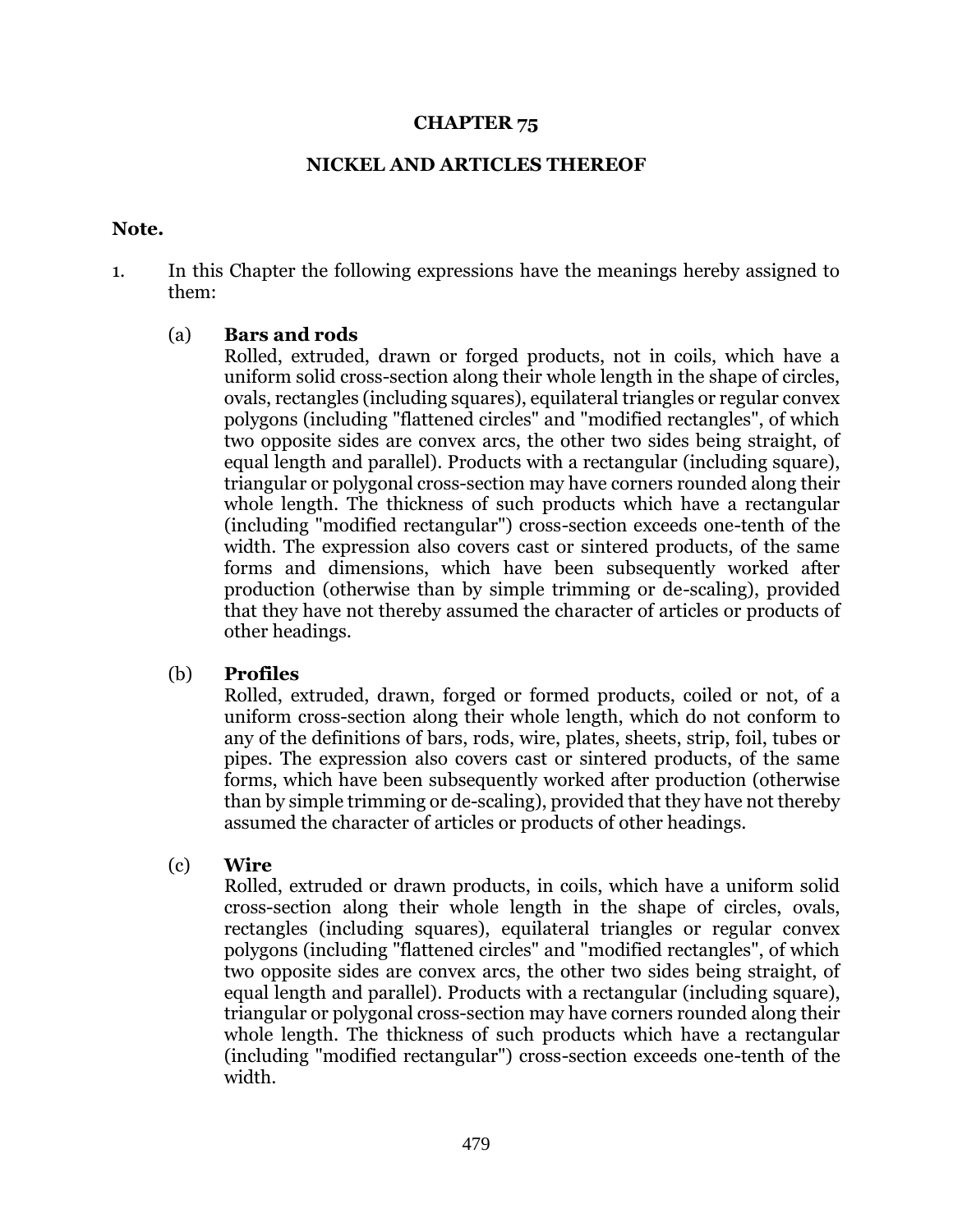#### **CHAPTER 75**

### **NICKEL AND ARTICLES THEREOF**

#### **Note.**

1. In this Chapter the following expressions have the meanings hereby assigned to them:

## (a) **Bars and rods**

Rolled, extruded, drawn or forged products, not in coils, which have a uniform solid cross-section along their whole length in the shape of circles, ovals, rectangles (including squares), equilateral triangles or regular convex polygons (including "flattened circles" and "modified rectangles", of which two opposite sides are convex arcs, the other two sides being straight, of equal length and parallel). Products with a rectangular (including square), triangular or polygonal cross-section may have corners rounded along their whole length. The thickness of such products which have a rectangular (including "modified rectangular") cross-section exceeds one-tenth of the width. The expression also covers cast or sintered products, of the same forms and dimensions, which have been subsequently worked after production (otherwise than by simple trimming or de-scaling), provided that they have not thereby assumed the character of articles or products of other headings.

## (b) **Profiles**

Rolled, extruded, drawn, forged or formed products, coiled or not, of a uniform cross-section along their whole length, which do not conform to any of the definitions of bars, rods, wire, plates, sheets, strip, foil, tubes or pipes. The expression also covers cast or sintered products, of the same forms, which have been subsequently worked after production (otherwise than by simple trimming or de-scaling), provided that they have not thereby assumed the character of articles or products of other headings.

## (c) **Wire**

Rolled, extruded or drawn products, in coils, which have a uniform solid cross-section along their whole length in the shape of circles, ovals, rectangles (including squares), equilateral triangles or regular convex polygons (including "flattened circles" and "modified rectangles", of which two opposite sides are convex arcs, the other two sides being straight, of equal length and parallel). Products with a rectangular (including square), triangular or polygonal cross-section may have corners rounded along their whole length. The thickness of such products which have a rectangular (including "modified rectangular") cross-section exceeds one-tenth of the width.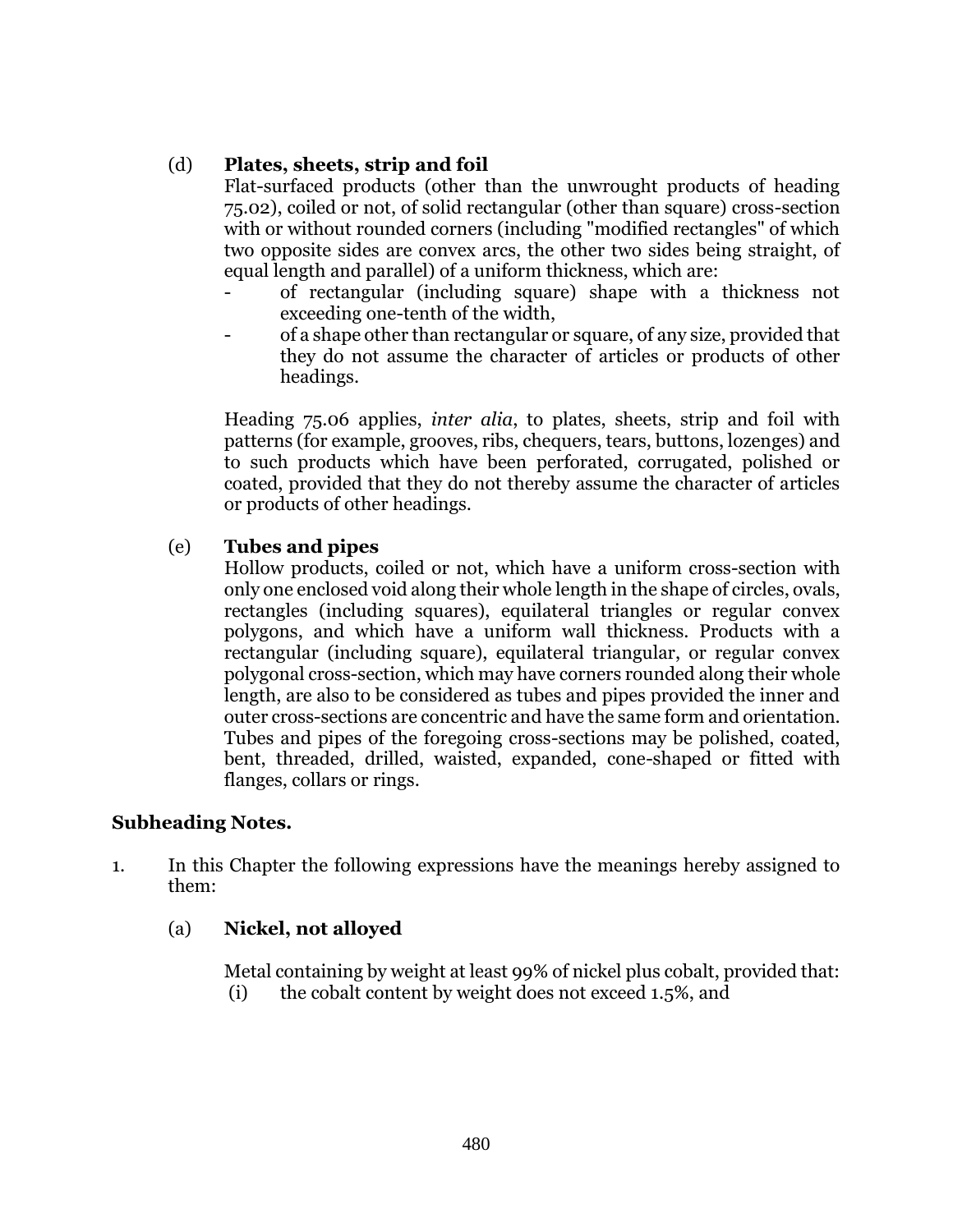## (d) **Plates, sheets, strip and foil**

Flat-surfaced products (other than the unwrought products of heading 75.02), coiled or not, of solid rectangular (other than square) cross-section with or without rounded corners (including "modified rectangles" of which two opposite sides are convex arcs, the other two sides being straight, of equal length and parallel) of a uniform thickness, which are:

- of rectangular (including square) shape with a thickness not exceeding one-tenth of the width,
- of a shape other than rectangular or square, of any size, provided that they do not assume the character of articles or products of other headings.

Heading 75.06 applies, *inter alia*, to plates, sheets, strip and foil with patterns (for example, grooves, ribs, chequers, tears, buttons, lozenges) and to such products which have been perforated, corrugated, polished or coated, provided that they do not thereby assume the character of articles or products of other headings.

## (e) **Tubes and pipes**

Hollow products, coiled or not, which have a uniform cross-section with only one enclosed void along their whole length in the shape of circles, ovals, rectangles (including squares), equilateral triangles or regular convex polygons, and which have a uniform wall thickness. Products with a rectangular (including square), equilateral triangular, or regular convex polygonal cross-section, which may have corners rounded along their whole length, are also to be considered as tubes and pipes provided the inner and outer cross-sections are concentric and have the same form and orientation. Tubes and pipes of the foregoing cross-sections may be polished, coated, bent, threaded, drilled, waisted, expanded, cone-shaped or fitted with flanges, collars or rings.

## **Subheading Notes.**

1. In this Chapter the following expressions have the meanings hereby assigned to them:

## (a) **Nickel, not alloyed**

Metal containing by weight at least 99% of nickel plus cobalt, provided that: (i) the cobalt content by weight does not exceed 1.5%, and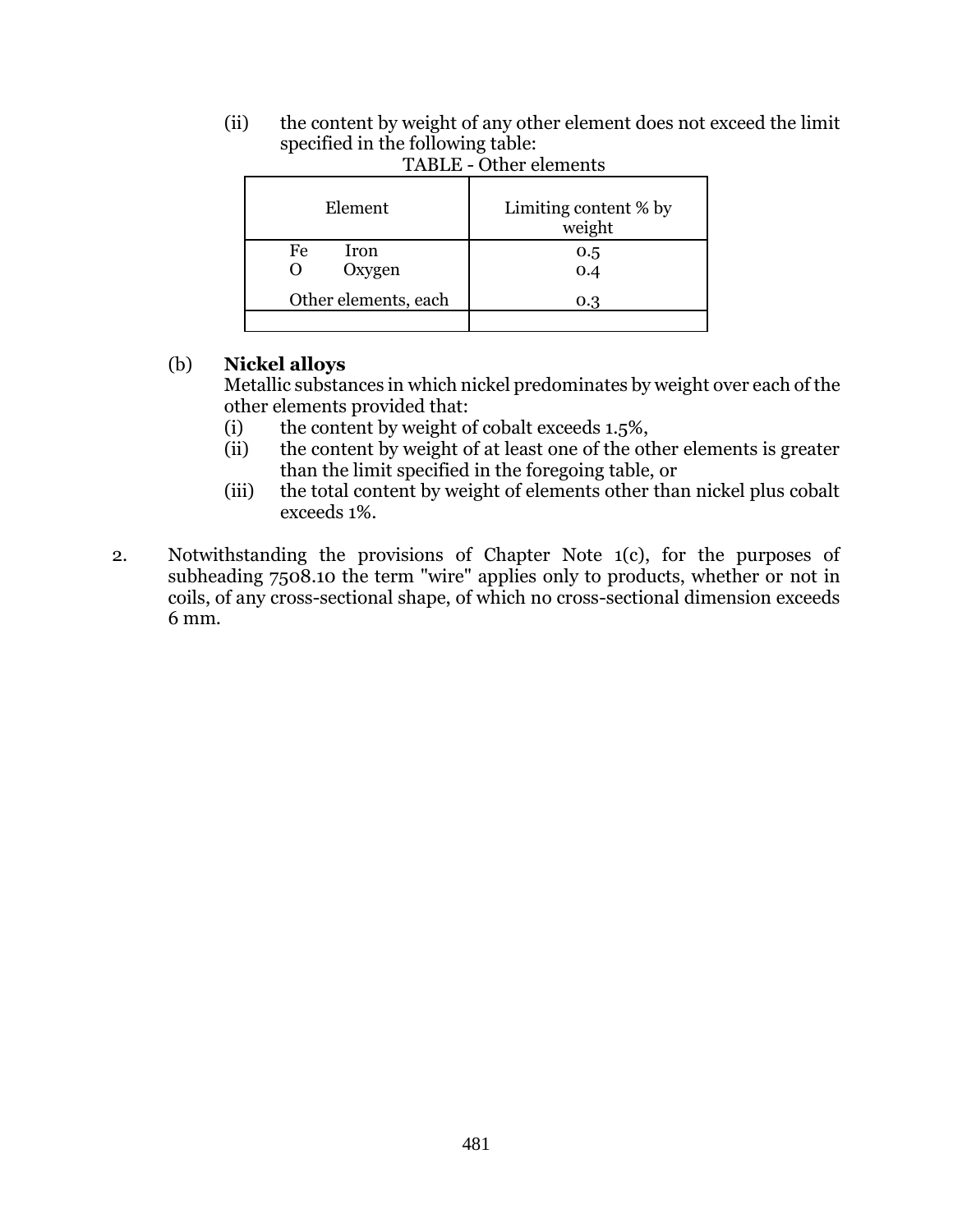(ii) the content by weight of any other element does not exceed the limit specified in the following table:

| Element              | Limiting content % by<br>weight |  |  |  |  |
|----------------------|---------------------------------|--|--|--|--|
| Fe<br>Iron<br>Oxygen | 0.5<br>0.4                      |  |  |  |  |
| Other elements, each | 0.3                             |  |  |  |  |

TABLE - Other elements

# (b) **Nickel alloys**

Metallic substances in which nickel predominates by weight over each of the other elements provided that:

- (i) the content by weight of cobalt exceeds 1.5%,
- (ii) the content by weight of at least one of the other elements is greater than the limit specified in the foregoing table, or
- (iii) the total content by weight of elements other than nickel plus cobalt exceeds 1%.
- 2. Notwithstanding the provisions of Chapter Note 1(c), for the purposes of subheading 7508.10 the term "wire" applies only to products, whether or not in coils, of any cross-sectional shape, of which no cross-sectional dimension exceeds 6 mm.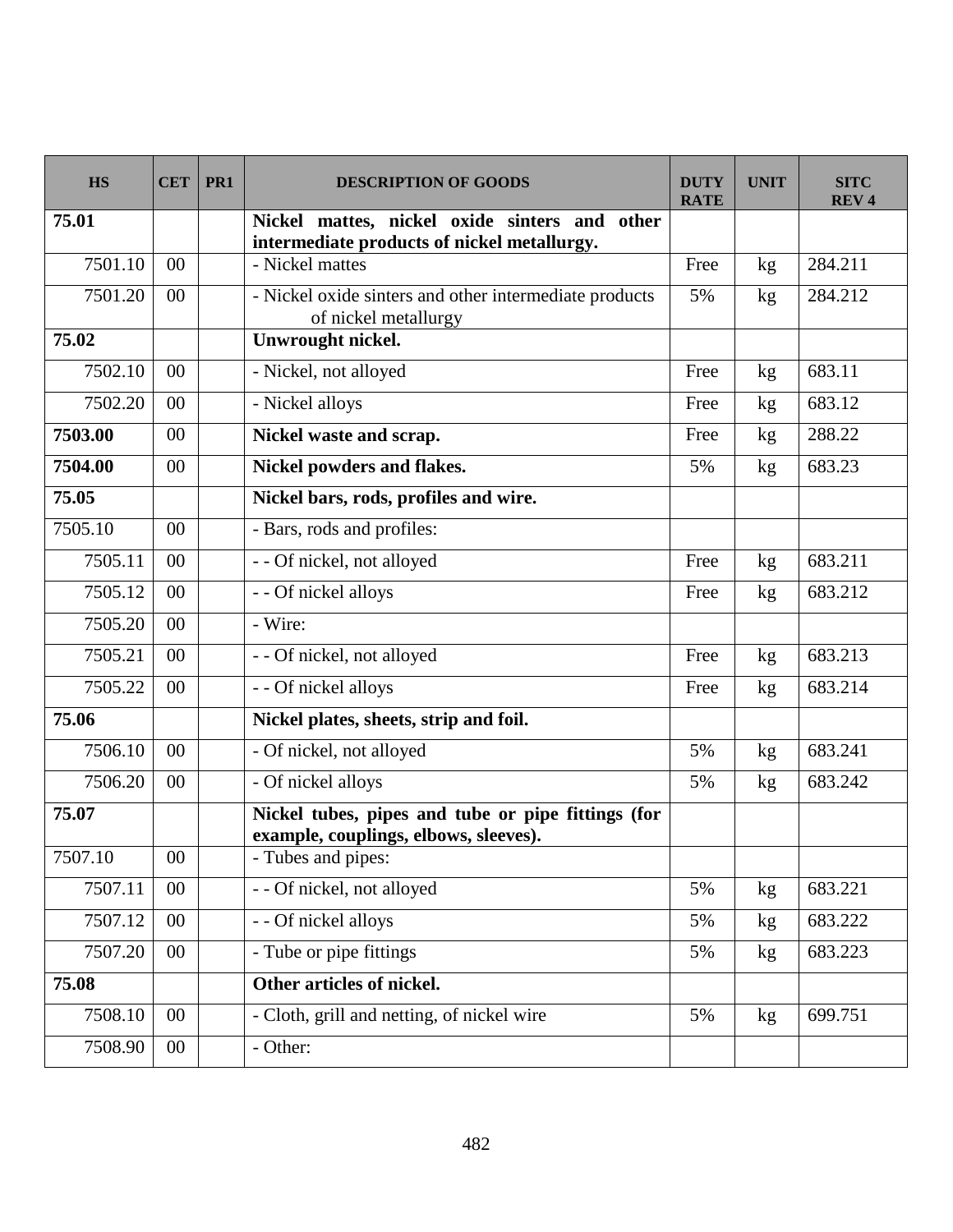| <b>HS</b> | <b>CET</b> | PR1 | <b>DESCRIPTION OF GOODS</b>                                                                  | <b>DUTY</b><br><b>RATE</b> | <b>UNIT</b>     | <b>SITC</b><br><b>REV4</b> |
|-----------|------------|-----|----------------------------------------------------------------------------------------------|----------------------------|-----------------|----------------------------|
| 75.01     |            |     | Nickel mattes, nickel oxide sinters and other<br>intermediate products of nickel metallurgy. |                            |                 |                            |
| 7501.10   | 00         |     | - Nickel mattes                                                                              | Free                       | kg              | 284.211                    |
| 7501.20   | 00         |     | - Nickel oxide sinters and other intermediate products<br>of nickel metallurgy               | 5%                         | kg              | 284.212                    |
| 75.02     |            |     | Unwrought nickel.                                                                            |                            |                 |                            |
| 7502.10   | 00         |     | - Nickel, not alloyed                                                                        | Free                       | kg              | 683.11                     |
| 7502.20   | 00         |     | - Nickel alloys                                                                              | Free                       | kg              | 683.12                     |
| 7503.00   | 00         |     | Nickel waste and scrap.                                                                      | Free                       | kg <sub>2</sub> | 288.22                     |
| 7504.00   | 00         |     | Nickel powders and flakes.                                                                   | 5%                         | kg              | 683.23                     |
| 75.05     |            |     | Nickel bars, rods, profiles and wire.                                                        |                            |                 |                            |
| 7505.10   | 00         |     | - Bars, rods and profiles:                                                                   |                            |                 |                            |
| 7505.11   | 00         |     | - - Of nickel, not alloyed                                                                   | Free                       | kg              | 683.211                    |
| 7505.12   | 00         |     | - - Of nickel alloys                                                                         | Free                       | kg              | 683.212                    |
| 7505.20   | 00         |     | - Wire:                                                                                      |                            |                 |                            |
| 7505.21   | 00         |     | - - Of nickel, not alloyed                                                                   | Free                       | kg              | 683.213                    |
| 7505.22   | 00         |     | - - Of nickel alloys                                                                         | Free                       | kg              | 683.214                    |
| 75.06     |            |     | Nickel plates, sheets, strip and foil.                                                       |                            |                 |                            |
| 7506.10   | 00         |     | - Of nickel, not alloyed                                                                     | 5%                         | kg              | 683.241                    |
| 7506.20   | 00         |     | - Of nickel alloys                                                                           | 5%                         | kg              | 683.242                    |
| 75.07     |            |     | Nickel tubes, pipes and tube or pipe fittings (for<br>example, couplings, elbows, sleeves).  |                            |                 |                            |
| 7507.10   | $00\,$     |     | - Tubes and pipes:                                                                           |                            |                 |                            |
| 7507.11   | $00\,$     |     | - - Of nickel, not alloyed                                                                   | 5%                         | kg              | 683.221                    |
| 7507.12   | $00\,$     |     | - - Of nickel alloys                                                                         | 5%                         | kg <sub>2</sub> | 683.222                    |
| 7507.20   | $00\,$     |     | - Tube or pipe fittings                                                                      | 5%                         | kg              | 683.223                    |
| 75.08     |            |     | Other articles of nickel.                                                                    |                            |                 |                            |
| 7508.10   | $00\,$     |     | - Cloth, grill and netting, of nickel wire                                                   | 5%                         | kg              | 699.751                    |
| 7508.90   | $00\,$     |     | - Other:                                                                                     |                            |                 |                            |